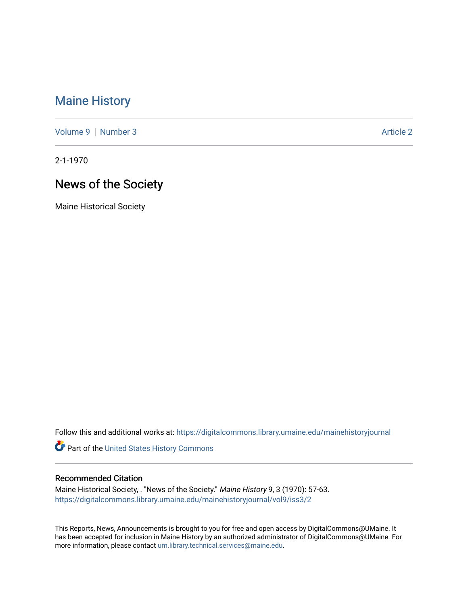## [Maine History](https://digitalcommons.library.umaine.edu/mainehistoryjournal)

[Volume 9](https://digitalcommons.library.umaine.edu/mainehistoryjournal/vol9) | [Number 3](https://digitalcommons.library.umaine.edu/mainehistoryjournal/vol9/iss3) Article 2

2-1-1970

# News of the Society

Maine Historical Society

Follow this and additional works at: [https://digitalcommons.library.umaine.edu/mainehistoryjournal](https://digitalcommons.library.umaine.edu/mainehistoryjournal?utm_source=digitalcommons.library.umaine.edu%2Fmainehistoryjournal%2Fvol9%2Fiss3%2F2&utm_medium=PDF&utm_campaign=PDFCoverPages) 

Part of the [United States History Commons](http://network.bepress.com/hgg/discipline/495?utm_source=digitalcommons.library.umaine.edu%2Fmainehistoryjournal%2Fvol9%2Fiss3%2F2&utm_medium=PDF&utm_campaign=PDFCoverPages) 

#### Recommended Citation

Maine Historical Society, . "News of the Society." Maine History 9, 3 (1970): 57-63. [https://digitalcommons.library.umaine.edu/mainehistoryjournal/vol9/iss3/2](https://digitalcommons.library.umaine.edu/mainehistoryjournal/vol9/iss3/2?utm_source=digitalcommons.library.umaine.edu%2Fmainehistoryjournal%2Fvol9%2Fiss3%2F2&utm_medium=PDF&utm_campaign=PDFCoverPages)

This Reports, News, Announcements is brought to you for free and open access by DigitalCommons@UMaine. It has been accepted for inclusion in Maine History by an authorized administrator of DigitalCommons@UMaine. For more information, please contact [um.library.technical.services@maine.edu](mailto:um.library.technical.services@maine.edu).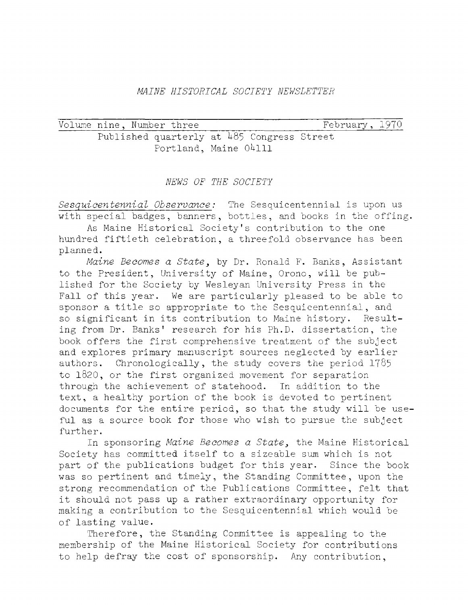### *MAINE HISTORICAL SOCIETY NEWSLETTER*

Volume nine, Number three February, 1970 Published quarterly at 485 Congress Street Portland, Maine 04111

### *NEWS OF THE SOCIETY*

*Sesquicentennial Observance:* The Sesquicentennial is upon us with special badges, banners, bottles, and books in the offing.

As Maine Historical Society's contribution to the one hundred fiftieth celebration, a threefold observance has been planned.

*Maine Becomes a State*, by Dr. Ronald F. Banks, Assistant to the President, University of Maine, Orono, will be published for the Society by Wesleyan University Press in the Fall of this year. We are particularly pleased to be able to sponsor a title so appropriate to the Sesquicentennial, and so significant in its contribution to Maine history. Resulting from Dr. Banks' research for his Ph.D. dissertation, the book offers the first comprehensive treatment of the subject and explores primary manuscript sources neglected by earlier authors. Chronologically, the study covers the period 1785 to 1820, or the first organized movement for separation through the achievement of statehood. In addition to the text, a healthy portion of the book is devoted to pertinent documents for the entire period, so that the study will be useful as a source book for those who wish to pursue the subject further.

In sponsoring *Maine Becomes a State*, the Maine Historical Society has committed itself to a sizeable sum which is not part of the publications budget for this year. Since the book was so pertinent and timely, the Standing Committee, upon the strong recommendation of the Publications Committee, felt that it should not pass up a rather extraordinary opportunity for making a contribution to the Sesquicentennial which would be of lasting value.

Therefore, the Standing Committee is appealing to the membership of the Maine Historical Society for contributions to help defray the cost of sponsorship. Any contribution,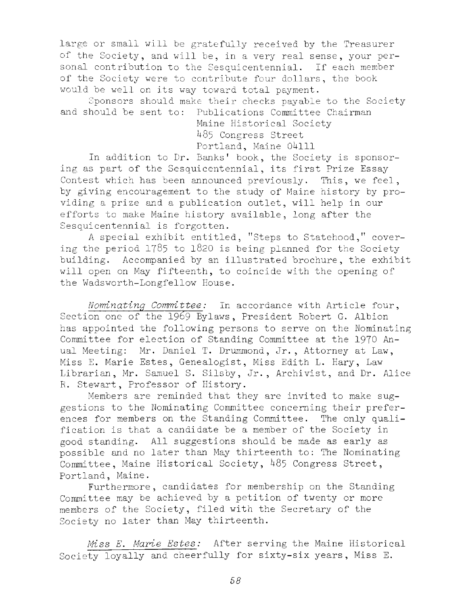large or small will be gratefully received by the Treasurer of the Society, and will be, in a very real sense, your personal contribution to the Sesquicentennial. If each member of the Society were to contribute four dollars, the book would be well on its way toward total payment.

Sponsors should make their checks payable to the Society and should be sent to: Publications Committee Chairman

> Maine Historical Society 485 Congress Street Portland, Maine 04111

In addition to Dr. Banks' book, the Society is sponsoring as part of the Sesquicentennial, its first Prize Essay Contest which has been announced previously. This, we feel, by giving encouragement to the study of Maine history by providing a prize and a publication outlet, will help in our efforts to make Maine history available, long after the Sesquicentennial is forgotten.

A special exhibit entitled, "Steps to Statehood," covering the period 1785 to 1820 is being planned for the Society building. Accompanied by an illustrated brochure, the exhibit will open on May fifteenth, to coincide with the opening of the Wadsworth-Longfellow House.

*Nominating Committee:* In accordance with Article four, Section one of the 1969 Bylaws, President Robert G. Albion has appointed the following persons to serve on the Nominating Committee for election of Standing Committee at the 1970 Anual Meeting: Mr. Daniel T. Drummond, Jr., Attorney at Law, Miss E. Marie Estes, Genealogist, Miss Edith L. Hary, Law Librarian, Mr. Samuel S. Silsby, Jr., Archivist, and Dr. Alice R. Stewart, Professor of History.

Members are reminded that they are invited to make suggestions to the Nominating Committee concerning their preferences for members on the Standing Committee. The only qualification is that a candidate be a member of the Society in good standing. All suggestions should be made as early as possible and no later than May thirteenth to: The Nominating Committee, Maine Historical Society,  $485$  Congress Street, Portland, Maine.

Furthermore, candidates for membership on the Standing Committee may be achieved by a petition of twenty or more members of the Society, filed with the Secretary of the Society no later than May thirteenth.

*Miss E. Marie Estes:* After serving the Maine Historical Society loyally and cheerfully for sixty-six years, Miss E.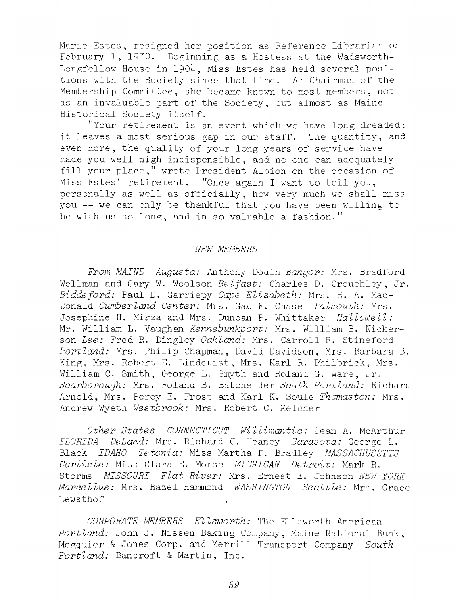Marie Estes, resigned her position as Reference Librarian on February 1, 1970. Beginning as a Hostess at the Wadsworth-Longfellow House in 1904, Miss Estes has held several positions with the Society since that time. As Chairman of the Membership Committee, she became known to most members, not as an invaluable part of the Society, but almost as Maine Historical Society itself.

"Your retirement is an event which we have long dreaded; it leaves a most serious gap in our staff. The quantity, and even more, the quality of your long years of service have made you well nigh indispensible, and no one can adequately fill your place," wrote President Albion on the occasion of Miss Estes' retirement. "Once again I want to tell you, personally as well as officially, how very much we shall miss you -- we can only be thankful that you have been willing to be with us so long, and in so valuable a fashion."

#### *NEW MEMBERS*

*From MAINE Augusta:* Anthony Douin *Bangor:* Mrs. Bradford Wellman and Gary W. Woolson *Belfast:* Charles D. Crouchley, Jr. *Biddeford:* Paul D. Garriepy *Cape E liza b eth :* Mrs. R. A. Mac-Donald *Cumberland Center:* Mrs. Gad E. Chase *Falmouth:* Mrs. Josephine H. Mirza and Mrs. Duncan P. Whittaker *Hallowell*: Mr. William L. Vaughan *Kennebunkport:* Mrs. William B. Nickerson *Lee:* Fred R. Dingley *Oakland:* Mrs. Carroll R. Stineford Portland: Mrs. Philip Chapman, David Davidson, Mrs. Barbara B. King, Mrs. Robert E. Lindquist, Mrs. Karl R. Philbrick, Mrs. William C. Smith, George L. Smyth and Roland G. Ware, Jr. Scarborough: Mrs. Roland B. Batchelder South Portland: Richard Arnold, Mrs. Percy E. Frost and Karl K. Soule *Thomaston:* Mrs. Andrew Wyeth *Westbrook:* Mrs. Robert C. Melcher

*Other States CONNECTICUT Willimantic:* Jean A. McArthur *FLORIDA DeLand:* Mrs. Richard C. Heaney *Sarasota:* George L. Black *IDAHO Tetonia:* Miss Martha F. Bradley *MASSACHUSETTS Carlisle:* Miss Clara E. Morse *MICHIGAN Detroit:* Mark R. Storms *MISSOURI Flat River*: Mrs. Ernest E. Johnson *NEW YORK Marcellus:* Mrs. Hazel Hammond *WASHINGTON Seattle:* Mrs. Grace Lewsthof

CORPORATE MEMBERS Ellsworth: The Ellsworth American Portland: John J. Nissen Baking Company, Maine National Bank, Megquier & Jones Corp. and Merrill Transport Company *South* Portland: Bancroft & Martin, Inc.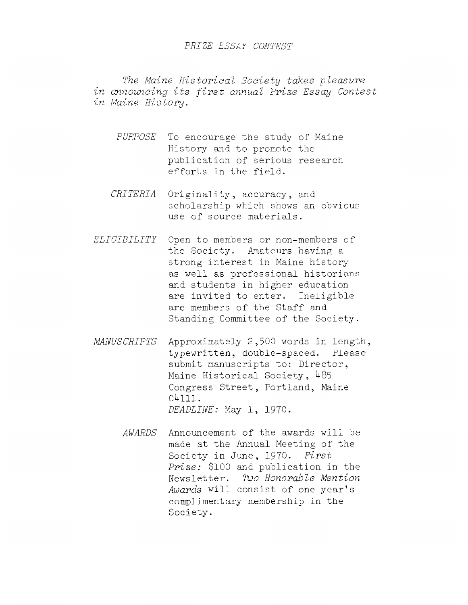#### *PRIZE ESSAY CONTEST*

The Maine Historical Society takes pleasure in announcing its first annual Prize Essay Contest *in Maine H istory* **.**

- PURPOSE To encourage the study of Maine History and to promote the publication of serious research efforts in the field.
- *CRITERIA* Originality, accuracy, and scholarship which shows an obvious use of source materials.
- *ELIGIBILITY* Open to members or non-members of the Society. Amateurs having a strong interest in Maine history as well as professional historians and students in higher education are invited to enter. Ineligible are members of the Staff and Standing Committee of the Society.
- *MANUSCRIPTS* Approximately 2,500 words in length, typewritten, double-spaced. Please submit manuscripts to: Director, Maine Historical Society,  $485$ Congress Street, Portland, Maine  $04111.$ *DEADLINE:* May 1, 1970.
	- *AWARDS* Announcement of the awards will be made at the Annual Meeting of the Society in June, 1970. First *Prize:* \$100 and publication in the Newsletter. *Too Honorable Mention* Awards will consist of one year's complimentary membership in the Society.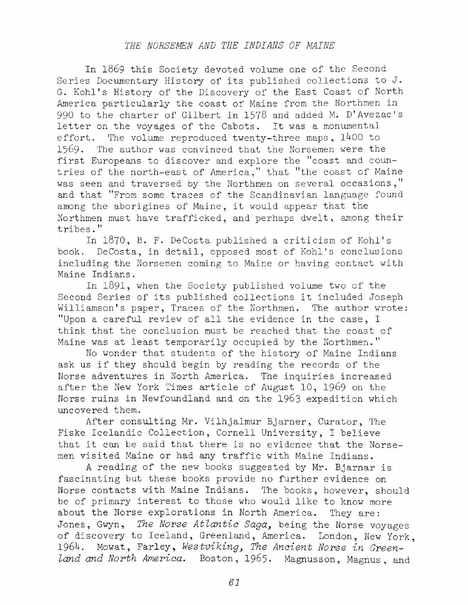## *THE HORSEMEN AND THE INDIANS OF MAINE*

In 1869 this Society devoted volume one of the Second Series Documentary History of its published collections to J. G. Kohl's History of the Discovery of the East Coast of North America particularly the coast of Maine from the Northmen in 990 to the charter of Gilbert in 1578 and added M. D'Avezac's letter on the voyages of the Cabots. It was a monumental effort. The volume reproduced twenty-three maps,  $1400$  to 1569. The author was convinced that the Norsemen were the first Europeans to discover and explore the "coast and countries of the north-east of America," that "the coast of Maine was seen and traversed by the Northmen on several occasions," and that "From some traces of the Scandinavian language found among the aborigines of Maine, it would appear that the Northmen must have trafficked, and perhaps dwelt, among their tribes."

In 1870, B. F. DeCosta published a criticism of Kohl's book. DeCosta, in detail, opposed most of Kohl's conclusions including the Norsemen coming to Maine or having contact with Maine Indians.

In 1891, when the Society published volume two of the Second Series of its published collections it included Joseph Williamson's paper, Traces of the Northmen. The author wrote: "Upon a careful review of all the evidence in the case, I think that the conclusion must be reached that the coast of Maine was at least temporarily occupied by the Northmen."

No wonder that students of the history of Maine Indians ask us if they should begin by reading the records of the Norse adventures in North America. The inquiries increased after the New York Times article of August 10, 1969 on the Norse ruins in Newfoundland and on the 1963 expedition which uncovered them.

After consulting Mr. Vilhjalmur Bjarner, Curator, The Fiske Icelandic Collection, Cornell University, I believe that it can be said that there is no evidence that the Norsemen visited Maine or had any traffic with Maine Indians.

A reading of the new books suggested by Mr. Bjarnar is fascinating but these books provide no further evidence on Norse contacts with Maine Indians. The books, however, should be of primary interest to those who would like to know more about the Norse explorations in North America. They are: Jones, Gwyn, *The Norse Atlantic Saga*, being the Norse voyages of discovery to Iceland, Greenland, America. London, New York, 1964. Mowat, Farley, Westviking, The Ancient Norse in Green*land and North America.* Boston, 1965. Magnusson, Magnus, and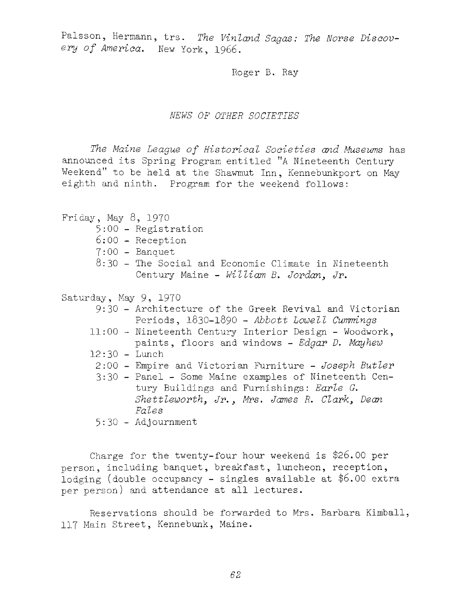Palsson, Hermann, trs. The Vinland Sagas: The Norse Discovery of America. New York, 1966.

Roger B. Ray

#### *NEWS OF OTHER SOCIETIES*

The Maine League of Historical Societies and Museums has announced its Spring Program entitled "A Nineteenth Century Weekend" to be held at the Shawmut Inn, Kennebunkport on May eighth and ninth. Program for the weekend follows:

Friday, May  $8$ , 1970 5:00 - Registration 6;00 - Reception  $7:00 -$ Banquet  $8:30$  - The Social and Economic Climate in Nineteenth Century Maine - *William B. Jordan*, Jr. Saturday, May 9, 1970 9:30 - Architecture of the Greek Revival and Victorian Periods, 1830-1890 - *Abbott Lowell Cummings*  $11:00$  - Nineteenth Century Interior Design - Woodwork, paints, floors and windows - *Edgar D. Mayhew* 12:30 - Lunch 2:00 - Empire and Victorian Furniture - *Joseph Butler* 3:30 - Panel - Some Maine examples of Nineteenth Century Buildings and Furnishings: *Earle G,* Shettleworth, Jr., Mrs. James R. Clark, Dean *Fales* 5:30 - Adj ournment

Charge for the twenty-four hour weekend is \$26.00 per person, including banquet, breakfast, luncheon, reception, lodging (double occupancy - singles available at \$6.00 extra per person) and attendance at all lectures.

Reservations should be forwarded to Mrs. Barbara Kimball, 117 Main Street, Kennebunk, Maine.